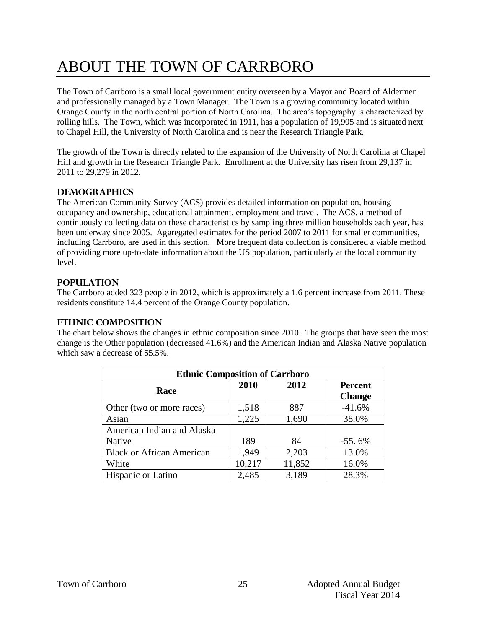# ABOUT THE TOWN OF CARRBORO

The Town of Carrboro is a small local government entity overseen by a Mayor and Board of Aldermen and professionally managed by a Town Manager. The Town is a growing community located within Orange County in the north central portion of North Carolina. The area's topography is characterized by rolling hills. The Town, which was incorporated in 1911, has a population of 19,905 and is situated next to Chapel Hill, the University of North Carolina and is near the Research Triangle Park.

The growth of the Town is directly related to the expansion of the University of North Carolina at Chapel Hill and growth in the Research Triangle Park. Enrollment at the University has risen from 29,137 in 2011 to 29,279 in 2012.

## **Demographics**

The American Community Survey (ACS) provides detailed information on population, housing occupancy and ownership, educational attainment, employment and travel. The ACS, a method of continuously collecting data on these characteristics by sampling three million households each year, has been underway since 2005. Aggregated estimates for the period 2007 to 2011 for smaller communities, including Carrboro, are used in this section. More frequent data collection is considered a viable method of providing more up-to-date information about the US population, particularly at the local community level.

## **Population**

The Carrboro added 323 people in 2012, which is approximately a 1.6 percent increase from 2011. These residents constitute 14.4 percent of the Orange County population.

## **Ethnic Composition**

The chart below shows the changes in ethnic composition since 2010. The groups that have seen the most change is the Other population (decreased 41.6%) and the American Indian and Alaska Native population which saw a decrease of 55.5%.

| <b>Ethnic Composition of Carrboro</b> |        |        |                |
|---------------------------------------|--------|--------|----------------|
| Race                                  | 2010   | 2012   | <b>Percent</b> |
|                                       |        |        | <b>Change</b>  |
| Other (two or more races)             | 1,518  | 887    | $-41.6%$       |
| Asian                                 | 1,225  | 1,690  | 38.0%          |
| American Indian and Alaska            |        |        |                |
| Native                                | 189    | 84     | $-55.6%$       |
| <b>Black or African American</b>      | 1,949  | 2,203  | 13.0%          |
| White                                 | 10,217 | 11,852 | 16.0%          |
| Hispanic or Latino                    | 2,485  | 3,189  | 28.3%          |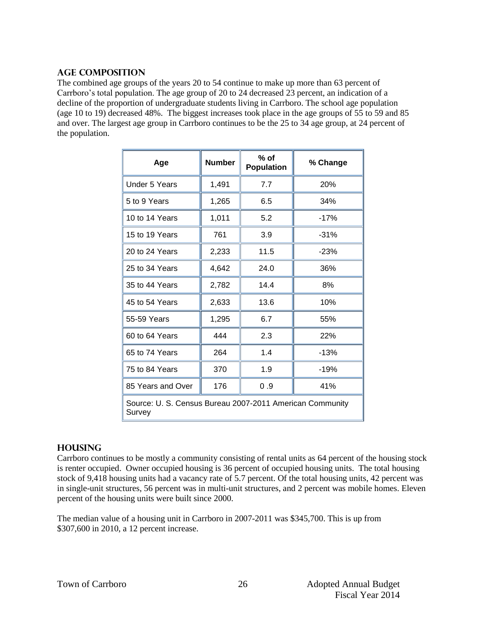#### **Age Composition**

The combined age groups of the years 20 to 54 continue to make up more than 63 percent of Carrboro's total population. The age group of 20 to 24 decreased 23 percent, an indication of a decline of the proportion of undergraduate students living in Carrboro. The school age population (age 10 to 19) decreased 48%. The biggest increases took place in the age groups of 55 to 59 and 85 and over. The largest age group in Carrboro continues to be the 25 to 34 age group, at 24 percent of the population.

| Age                                                                | <b>Number</b> | $%$ of<br><b>Population</b> | % Change |
|--------------------------------------------------------------------|---------------|-----------------------------|----------|
| <b>Under 5 Years</b>                                               | 1,491         | 7.7                         | 20%      |
| 5 to 9 Years                                                       | 1,265         | 6.5                         | 34%      |
| 10 to 14 Years                                                     | 1,011         | 5.2                         | $-17%$   |
| 15 to 19 Years                                                     | 761           | 3.9                         | $-31%$   |
| 20 to 24 Years                                                     | 2,233         | 11.5                        | $-23%$   |
| 25 to 34 Years                                                     | 4,642         | 24.0                        | 36%      |
| 35 to 44 Years                                                     | 2,782         | 14.4                        | 8%       |
| 45 to 54 Years                                                     | 2,633         | 13.6                        | 10%      |
| 55-59 Years                                                        | 1,295         | 6.7                         | 55%      |
| 60 to 64 Years                                                     | 444           | 2.3                         | 22%      |
| 65 to 74 Years                                                     | 264           | 1.4                         | $-13%$   |
| 75 to 84 Years                                                     | 370           | 1.9                         | $-19%$   |
| 85 Years and Over                                                  | 176           | 0.9                         | 41%      |
| Source: U. S. Census Bureau 2007-2011 American Community<br>Survey |               |                             |          |

## **Housing**

Carrboro continues to be mostly a community consisting of rental units as 64 percent of the housing stock is renter occupied. Owner occupied housing is 36 percent of occupied housing units. The total housing stock of 9,418 housing units had a vacancy rate of 5.7 percent. Of the total housing units, 42 percent was in single-unit structures, 56 percent was in multi-unit structures, and 2 percent was mobile homes. Eleven percent of the housing units were built since 2000.

The median value of a housing unit in Carrboro in 2007-2011 was \$345,700. This is up from \$307,600 in 2010, a 12 percent increase.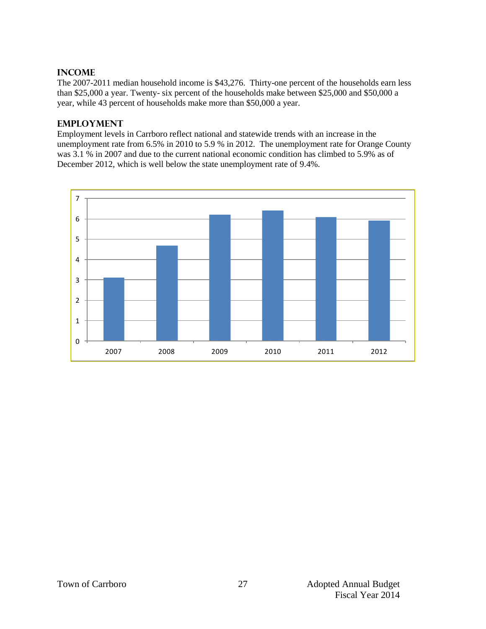## **Income**

The 2007-2011 median household income is \$43,276. Thirty-one percent of the households earn less than \$25,000 a year. Twenty- six percent of the households make between \$25,000 and \$50,000 a year, while 43 percent of households make more than \$50,000 a year.

#### **EMPLOYMENT**

Employment levels in Carrboro reflect national and statewide trends with an increase in the unemployment rate from 6.5% in 2010 to 5.9 % in 2012. The unemployment rate for Orange County was 3.1 % in 2007 and due to the current national economic condition has climbed to 5.9% as of December 2012, which is well below the state unemployment rate of 9.4%.

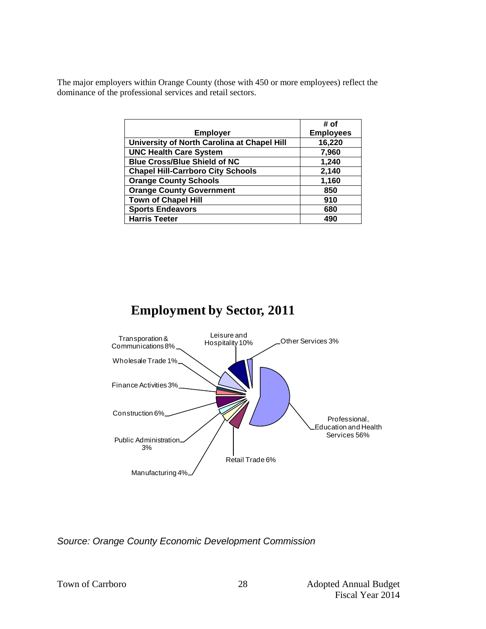The major employers within Orange County (those with 450 or more employees) reflect the dominance of the professional services and retail sectors.

|                                             | # of             |
|---------------------------------------------|------------------|
| <b>Employer</b>                             | <b>Employees</b> |
| University of North Carolina at Chapel Hill | 16,220           |
| <b>UNC Health Care System</b>               | 7,960            |
| <b>Blue Cross/Blue Shield of NC</b>         | 1,240            |
| <b>Chapel Hill-Carrboro City Schools</b>    | 2,140            |
| <b>Orange County Schools</b>                | 1,160            |
| <b>Orange County Government</b>             | 850              |
| <b>Town of Chapel Hill</b>                  | 910              |
| <b>Sports Endeavors</b>                     | 680              |
| <b>Harris Teeter</b>                        | 490              |



*Source: Orange County Economic Development Commission*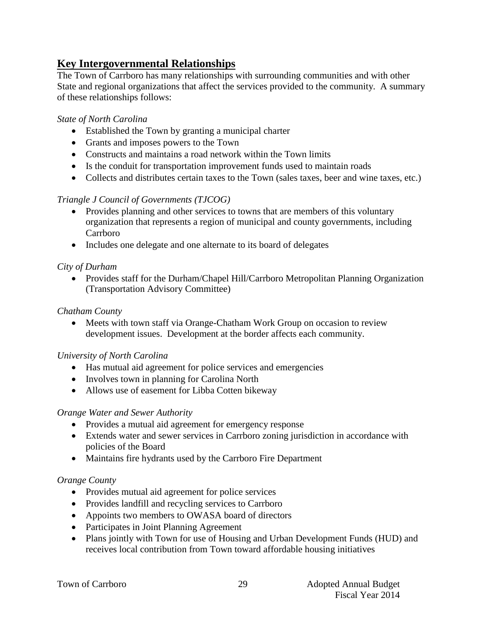# **Key Intergovernmental Relationships**

The Town of Carrboro has many relationships with surrounding communities and with other State and regional organizations that affect the services provided to the community. A summary of these relationships follows:

## *State of North Carolina*

- Established the Town by granting a municipal charter
- Grants and imposes powers to the Town
- Constructs and maintains a road network within the Town limits
- Is the conduit for transportation improvement funds used to maintain roads
- Collects and distributes certain taxes to the Town (sales taxes, beer and wine taxes, etc.)

## *Triangle J Council of Governments (TJCOG)*

- Provides planning and other services to towns that are members of this voluntary organization that represents a region of municipal and county governments, including Carrboro
- Includes one delegate and one alternate to its board of delegates

## *City of Durham*

• Provides staff for the Durham/Chapel Hill/Carrboro Metropolitan Planning Organization (Transportation Advisory Committee)

## *Chatham County*

 Meets with town staff via Orange-Chatham Work Group on occasion to review development issues. Development at the border affects each community.

## *University of North Carolina*

- Has mutual aid agreement for police services and emergencies
- Involves town in planning for Carolina North
- Allows use of easement for Libba Cotten bikeway

## *Orange Water and Sewer Authority*

- Provides a mutual aid agreement for emergency response
- Extends water and sewer services in Carrboro zoning jurisdiction in accordance with policies of the Board
- Maintains fire hydrants used by the Carrboro Fire Department

## *Orange County*

- Provides mutual aid agreement for police services
- Provides landfill and recycling services to Carrboro
- Appoints two members to OWASA board of directors
- Participates in Joint Planning Agreement
- Plans jointly with Town for use of Housing and Urban Development Funds (HUD) and receives local contribution from Town toward affordable housing initiatives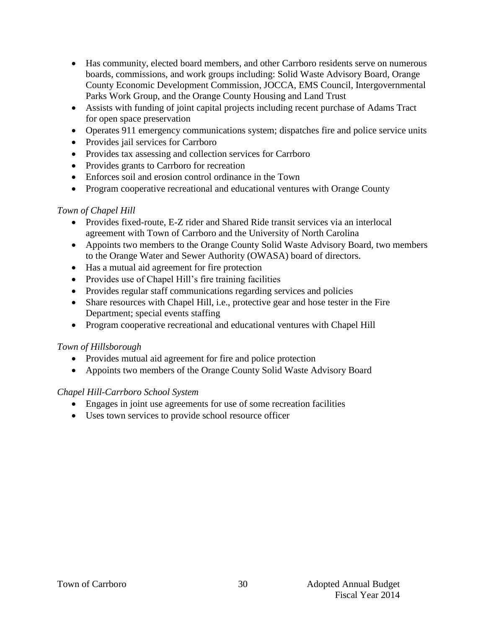- Has community, elected board members, and other Carrboro residents serve on numerous boards, commissions, and work groups including: Solid Waste Advisory Board, Orange County Economic Development Commission, JOCCA, EMS Council, Intergovernmental Parks Work Group, and the Orange County Housing and Land Trust
- Assists with funding of joint capital projects including recent purchase of Adams Tract for open space preservation
- Operates 911 emergency communications system; dispatches fire and police service units
- Provides jail services for Carrboro
- Provides tax assessing and collection services for Carrboro
- Provides grants to Carrboro for recreation
- Enforces soil and erosion control ordinance in the Town
- Program cooperative recreational and educational ventures with Orange County

## *Town of Chapel Hill*

- Provides fixed-route, E-Z rider and Shared Ride transit services via an interlocal agreement with Town of Carrboro and the University of North Carolina
- Appoints two members to the Orange County Solid Waste Advisory Board, two members to the Orange Water and Sewer Authority (OWASA) board of directors.
- Has a mutual aid agreement for fire protection
- Provides use of Chapel Hill's fire training facilities
- Provides regular staff communications regarding services and policies
- Share resources with Chapel Hill, i.e., protective gear and hose tester in the Fire Department; special events staffing
- Program cooperative recreational and educational ventures with Chapel Hill

## *Town of Hillsborough*

- Provides mutual aid agreement for fire and police protection
- Appoints two members of the Orange County Solid Waste Advisory Board

## *Chapel Hill-Carrboro School System*

- Engages in joint use agreements for use of some recreation facilities
- Uses town services to provide school resource officer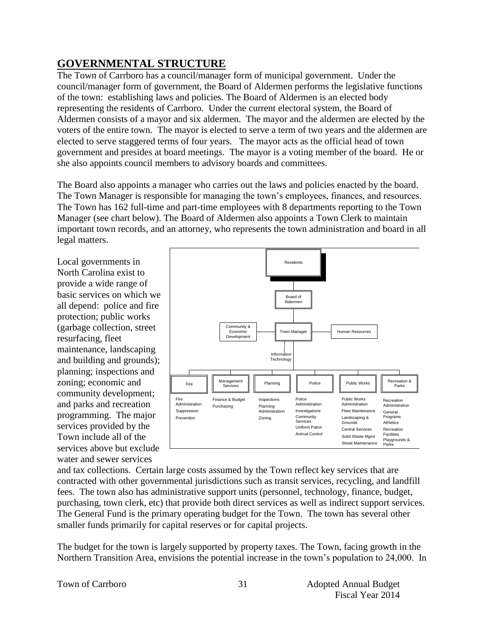# **GOVERNMENTAL STRUCTURE**

The Town of Carrboro has a council/manager form of municipal government. Under the council/manager form of government, the Board of Aldermen performs the legislative functions of the town: establishing laws and policies. The Board of Aldermen is an elected body representing the residents of Carrboro. Under the current electoral system, the Board of Aldermen consists of a mayor and six aldermen. The mayor and the aldermen are elected by the voters of the entire town. The mayor is elected to serve a term of two years and the aldermen are elected to serve staggered terms of four years. The mayor acts as the official head of town government and presides at board meetings. The mayor is a voting member of the board. He or she also appoints council members to advisory boards and committees.

The Board also appoints a manager who carries out the laws and policies enacted by the board. The Town Manager is responsible for managing the town's employees, finances, and resources. The Town has 162 full-time and part-time employees with 8 departments reporting to the Town Manager (see chart below). The Board of Aldermen also appoints a Town Clerk to maintain important town records, and an attorney, who represents the town administration and board in all legal matters.

Local governments in North Carolina exist to provide a wide range of basic services on which we all depend: police and fire protection; public works (garbage collection, street resurfacing, fleet maintenance, landscaping and building and grounds); planning; inspections and zoning; economic and community development; and parks and recreation programming. The major services provided by the Town include all of the services above but exclude water and sewer services



and tax collections. Certain large costs assumed by the Town reflect key services that are contracted with other governmental jurisdictions such as transit services, recycling, and landfill fees. The town also has administrative support units (personnel, technology, finance, budget, purchasing, town clerk, etc) that provide both direct services as well as indirect support services. The General Fund is the primary operating budget for the Town. The town has several other smaller funds primarily for capital reserves or for capital projects.

The budget for the town is largely supported by property taxes. The Town, facing growth in the Northern Transition Area, envisions the potential increase in the town's population to 24,000. In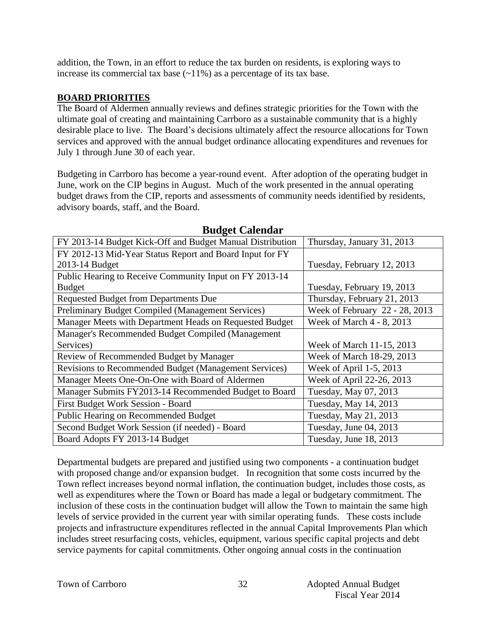addition, the Town, in an effort to reduce the tax burden on residents, is exploring ways to increase its commercial tax base  $(\sim 11\%)$  as a percentage of its tax base.

## **BOARD PRIORITIES**

The Board of Aldermen annually reviews and defines strategic priorities for the Town with the ultimate goal of creating and maintaining Carrboro as a sustainable community that is a highly desirable place to live. The Board's decisions ultimately affect the resource allocations for Town services and approved with the annual budget ordinance allocating expenditures and revenues for July 1 through June 30 of each year.

Budgeting in Carrboro has become a year-round event. After adoption of the operating budget in June, work on the CIP begins in August. Much of the work presented in the annual operating budget draws from the CIP, reports and assessments of community needs identified by residents, advisory boards, staff, and the Board.

| FY 2013-14 Budget Kick-Off and Budget Manual Distribution    | Thursday, January 31, 2013     |
|--------------------------------------------------------------|--------------------------------|
| FY 2012-13 Mid-Year Status Report and Board Input for FY     |                                |
| 2013-14 Budget                                               | Tuesday, February 12, 2013     |
| Public Hearing to Receive Community Input on FY 2013-14      |                                |
| <b>Budget</b>                                                | Tuesday, February 19, 2013     |
| <b>Requested Budget from Departments Due</b>                 | Thursday, February 21, 2013    |
| Preliminary Budget Compiled (Management Services)            | Week of February 22 - 28, 2013 |
| Manager Meets with Department Heads on Requested Budget      | Week of March 4 - 8, 2013      |
| Manager's Recommended Budget Compiled (Management            |                                |
| Services)                                                    | Week of March 11-15, 2013      |
| Review of Recommended Budget by Manager                      | Week of March 18-29, 2013      |
| <b>Revisions to Recommended Budget (Management Services)</b> | Week of April 1-5, 2013        |
| Manager Meets One-On-One with Board of Aldermen              | Week of April 22-26, 2013      |
| Manager Submits FY2013-14 Recommended Budget to Board        | Tuesday, May 07, 2013          |
| First Budget Work Session - Board                            | Tuesday, May 14, 2013          |
| Public Hearing on Recommended Budget                         | Tuesday, May 21, 2013          |
| Second Budget Work Session (if needed) - Board               | Tuesday, June 04, 2013         |
| Board Adopts FY 2013-14 Budget                               | Tuesday, June 18, 2013         |

## **Budget Calendar**

Departmental budgets are prepared and justified using two components - a continuation budget with proposed change and/or expansion budget. In recognition that some costs incurred by the Town reflect increases beyond normal inflation, the continuation budget, includes those costs, as well as expenditures where the Town or Board has made a legal or budgetary commitment. The inclusion of these costs in the continuation budget will allow the Town to maintain the same high levels of service provided in the current year with similar operating funds. These costs include projects and infrastructure expenditures reflected in the annual Capital Improvements Plan which includes street resurfacing costs, vehicles, equipment, various specific capital projects and debt service payments for capital commitments. Other ongoing annual costs in the continuation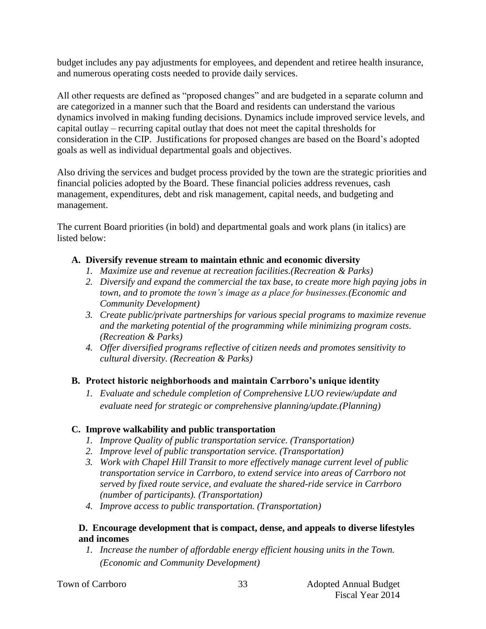budget includes any pay adjustments for employees, and dependent and retiree health insurance, and numerous operating costs needed to provide daily services.

All other requests are defined as "proposed changes" and are budgeted in a separate column and are categorized in a manner such that the Board and residents can understand the various dynamics involved in making funding decisions. Dynamics include improved service levels, and capital outlay – recurring capital outlay that does not meet the capital thresholds for consideration in the CIP. Justifications for proposed changes are based on the Board's adopted goals as well as individual departmental goals and objectives.

Also driving the services and budget process provided by the town are the strategic priorities and financial policies adopted by the Board. These financial policies address revenues, cash management, expenditures, debt and risk management, capital needs, and budgeting and management.

The current Board priorities (in bold) and departmental goals and work plans (in italics) are listed below:

## **A. Diversify revenue stream to maintain ethnic and economic diversity**

- *1. Maximize use and revenue at recreation facilities.(Recreation & Parks)*
- *2. Diversify and expand the commercial the tax base, to create more high paying jobs in town, and to promote the town's image as a place for businesses.(Economic and Community Development)*
- *3. Create public/private partnerships for various special programs to maximize revenue and the marketing potential of the programming while minimizing program costs. (Recreation & Parks)*
- *4. Offer diversified programs reflective of citizen needs and promotes sensitivity to cultural diversity. (Recreation & Parks)*

## **B. Protect historic neighborhoods and maintain Carrboro's unique identity**

*1. Evaluate and schedule completion of Comprehensive LUO review/update and evaluate need for strategic or comprehensive planning/update.(Planning)*

## **C. Improve walkability and public transportation**

- *1. Improve Quality of public transportation service. (Transportation)*
- *2. Improve level of public transportation service. (Transportation)*
- *3. Work with Chapel Hill Transit to more effectively manage current level of public transportation service in Carrboro, to extend service into areas of Carrboro not served by fixed route service, and evaluate the shared-ride service in Carrboro (number of participants). (Transportation)*
- *4. Improve access to public transportation. (Transportation)*

## **D. Encourage development that is compact, dense, and appeals to diverse lifestyles and incomes**

*1. Increase the number of affordable energy efficient housing units in the Town. (Economic and Community Development)*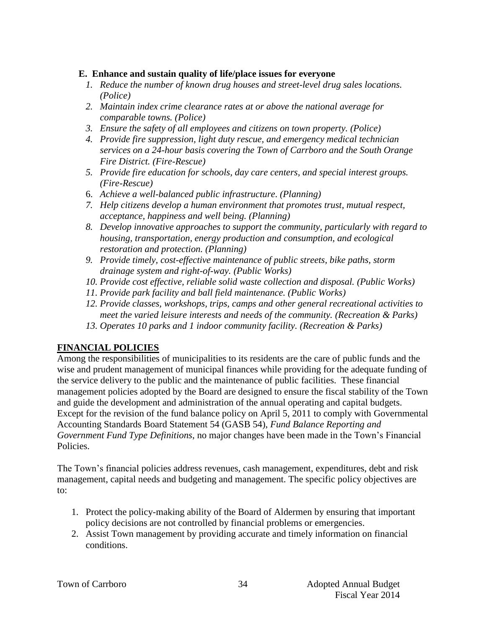## **E. Enhance and sustain quality of life/place issues for everyone**

- *1. Reduce the number of known drug houses and street-level drug sales locations. (Police)*
- *2. Maintain index crime clearance rates at or above the national average for comparable towns. (Police)*
- *3. Ensure the safety of all employees and citizens on town property. (Police)*
- *4. Provide fire suppression, light duty rescue, and emergency medical technician services on a 24-hour basis covering the Town of Carrboro and the South Orange Fire District. (Fire-Rescue)*
- *5. Provide fire education for schools, day care centers, and special interest groups. (Fire-Rescue)*
- 6. *Achieve a well-balanced public infrastructure*. *(Planning)*
- *7. Help citizens develop a human environment that promotes trust, mutual respect, acceptance, happiness and well being. (Planning)*
- *8. Develop innovative approaches to support the community, particularly with regard to housing, transportation, energy production and consumption, and ecological restoration and protection. (Planning)*
- *9. Provide timely, cost-effective maintenance of public streets, bike paths, storm drainage system and right-of-way. (Public Works)*
- *10. Provide cost effective, reliable solid waste collection and disposal. (Public Works)*
- *11. Provide park facility and ball field maintenance. (Public Works)*
- *12. Provide classes, workshops, trips, camps and other general recreational activities to meet the varied leisure interests and needs of the community. (Recreation & Parks)*
- *13. Operates 10 parks and 1 indoor community facility. (Recreation & Parks)*

## **FINANCIAL POLICIES**

Among the responsibilities of municipalities to its residents are the care of public funds and the wise and prudent management of municipal finances while providing for the adequate funding of the service delivery to the public and the maintenance of public facilities. These financial management policies adopted by the Board are designed to ensure the fiscal stability of the Town and guide the development and administration of the annual operating and capital budgets. Except for the revision of the fund balance policy on April 5, 2011 to comply with Governmental Accounting Standards Board Statement 54 (GASB 54), *Fund Balance Reporting and Government Fund Type Definitions*, no major changes have been made in the Town's Financial Policies.

The Town's financial policies address revenues, cash management, expenditures, debt and risk management, capital needs and budgeting and management. The specific policy objectives are to:

- 1. Protect the policy-making ability of the Board of Aldermen by ensuring that important policy decisions are not controlled by financial problems or emergencies.
- 2. Assist Town management by providing accurate and timely information on financial conditions.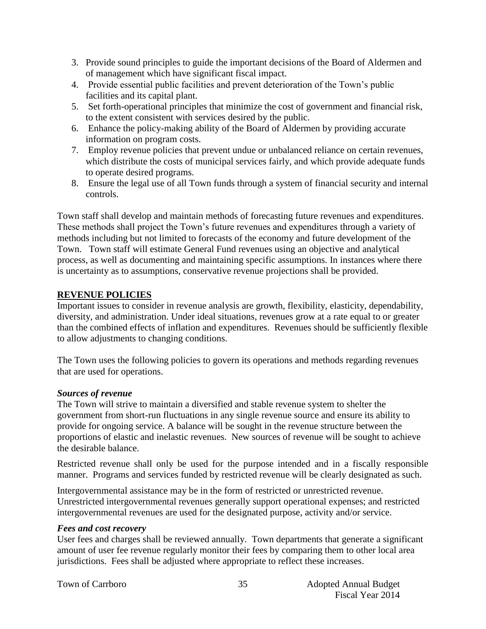- 3. Provide sound principles to guide the important decisions of the Board of Aldermen and of management which have significant fiscal impact.
- 4. Provide essential public facilities and prevent deterioration of the Town's public facilities and its capital plant.
- 5. Set forth-operational principles that minimize the cost of government and financial risk, to the extent consistent with services desired by the public.
- 6. Enhance the policy-making ability of the Board of Aldermen by providing accurate information on program costs.
- 7. Employ revenue policies that prevent undue or unbalanced reliance on certain revenues, which distribute the costs of municipal services fairly, and which provide adequate funds to operate desired programs.
- 8. Ensure the legal use of all Town funds through a system of financial security and internal controls.

Town staff shall develop and maintain methods of forecasting future revenues and expenditures. These methods shall project the Town's future revenues and expenditures through a variety of methods including but not limited to forecasts of the economy and future development of the Town. Town staff will estimate General Fund revenues using an objective and analytical process, as well as documenting and maintaining specific assumptions. In instances where there is uncertainty as to assumptions, conservative revenue projections shall be provided.

## **REVENUE POLICIES**

Important issues to consider in revenue analysis are growth, flexibility, elasticity, dependability, diversity, and administration. Under ideal situations, revenues grow at a rate equal to or greater than the combined effects of inflation and expenditures. Revenues should be sufficiently flexible to allow adjustments to changing conditions.

The Town uses the following policies to govern its operations and methods regarding revenues that are used for operations.

## *Sources of revenue*

The Town will strive to maintain a diversified and stable revenue system to shelter the government from short-run fluctuations in any single revenue source and ensure its ability to provide for ongoing service. A balance will be sought in the revenue structure between the proportions of elastic and inelastic revenues. New sources of revenue will be sought to achieve the desirable balance.

Restricted revenue shall only be used for the purpose intended and in a fiscally responsible manner. Programs and services funded by restricted revenue will be clearly designated as such.

Intergovernmental assistance may be in the form of restricted or unrestricted revenue. Unrestricted intergovernmental revenues generally support operational expenses; and restricted intergovernmental revenues are used for the designated purpose, activity and/or service.

## *Fees and cost recovery*

User fees and charges shall be reviewed annually. Town departments that generate a significant amount of user fee revenue regularly monitor their fees by comparing them to other local area jurisdictions. Fees shall be adjusted where appropriate to reflect these increases.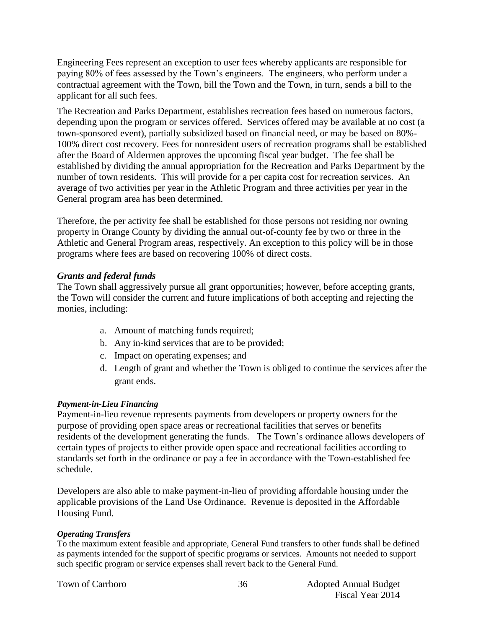Engineering Fees represent an exception to user fees whereby applicants are responsible for paying 80% of fees assessed by the Town's engineers. The engineers, who perform under a contractual agreement with the Town, bill the Town and the Town, in turn, sends a bill to the applicant for all such fees.

The Recreation and Parks Department, establishes recreation fees based on numerous factors, depending upon the program or services offered. Services offered may be available at no cost (a town-sponsored event), partially subsidized based on financial need, or may be based on 80%- 100% direct cost recovery. Fees for nonresident users of recreation programs shall be established after the Board of Aldermen approves the upcoming fiscal year budget. The fee shall be established by dividing the annual appropriation for the Recreation and Parks Department by the number of town residents. This will provide for a per capita cost for recreation services. An average of two activities per year in the Athletic Program and three activities per year in the General program area has been determined.

Therefore, the per activity fee shall be established for those persons not residing nor owning property in Orange County by dividing the annual out-of-county fee by two or three in the Athletic and General Program areas, respectively. An exception to this policy will be in those programs where fees are based on recovering 100% of direct costs.

#### *Grants and federal funds*

The Town shall aggressively pursue all grant opportunities; however, before accepting grants, the Town will consider the current and future implications of both accepting and rejecting the monies, including:

- a. Amount of matching funds required;
- b. Any in-kind services that are to be provided;
- c. Impact on operating expenses; and
- d. Length of grant and whether the Town is obliged to continue the services after the grant ends.

#### *Payment-in-Lieu Financing*

Payment-in-lieu revenue represents payments from developers or property owners for the purpose of providing open space areas or recreational facilities that serves or benefits residents of the development generating the funds. The Town's ordinance allows developers of certain types of projects to either provide open space and recreational facilities according to standards set forth in the ordinance or pay a fee in accordance with the Town-established fee schedule.

Developers are also able to make payment-in-lieu of providing affordable housing under the applicable provisions of the Land Use Ordinance. Revenue is deposited in the Affordable Housing Fund.

#### *Operating Transfers*

To the maximum extent feasible and appropriate, General Fund transfers to other funds shall be defined as payments intended for the support of specific programs or services. Amounts not needed to support such specific program or service expenses shall revert back to the General Fund.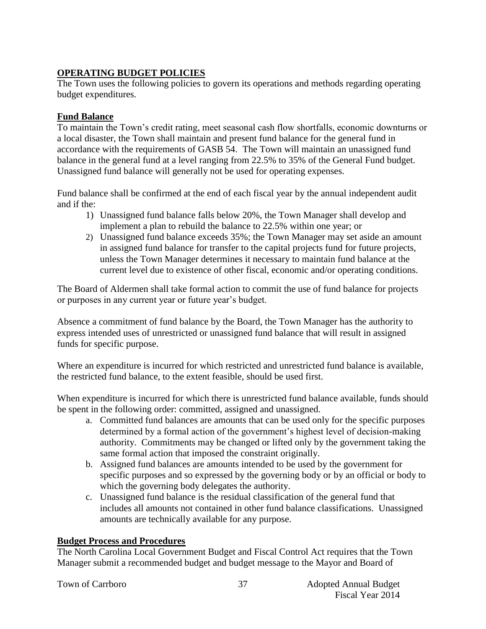## **OPERATING BUDGET POLICIES**

The Town uses the following policies to govern its operations and methods regarding operating budget expenditures.

## **Fund Balance**

To maintain the Town's credit rating, meet seasonal cash flow shortfalls, economic downturns or a local disaster, the Town shall maintain and present fund balance for the general fund in accordance with the requirements of GASB 54. The Town will maintain an unassigned fund balance in the general fund at a level ranging from 22.5% to 35% of the General Fund budget. Unassigned fund balance will generally not be used for operating expenses.

Fund balance shall be confirmed at the end of each fiscal year by the annual independent audit and if the:

- 1) Unassigned fund balance falls below 20%, the Town Manager shall develop and implement a plan to rebuild the balance to 22.5% within one year; or
- 2) Unassigned fund balance exceeds 35%; the Town Manager may set aside an amount in assigned fund balance for transfer to the capital projects fund for future projects, unless the Town Manager determines it necessary to maintain fund balance at the current level due to existence of other fiscal, economic and/or operating conditions.

The Board of Aldermen shall take formal action to commit the use of fund balance for projects or purposes in any current year or future year's budget.

Absence a commitment of fund balance by the Board, the Town Manager has the authority to express intended uses of unrestricted or unassigned fund balance that will result in assigned funds for specific purpose.

Where an expenditure is incurred for which restricted and unrestricted fund balance is available, the restricted fund balance, to the extent feasible, should be used first.

When expenditure is incurred for which there is unrestricted fund balance available, funds should be spent in the following order: committed, assigned and unassigned.

- a. Committed fund balances are amounts that can be used only for the specific purposes determined by a formal action of the government's highest level of decision-making authority. Commitments may be changed or lifted only by the government taking the same formal action that imposed the constraint originally.
- b. Assigned fund balances are amounts intended to be used by the government for specific purposes and so expressed by the governing body or by an official or body to which the governing body delegates the authority.
- c. Unassigned fund balance is the residual classification of the general fund that includes all amounts not contained in other fund balance classifications. Unassigned amounts are technically available for any purpose.

## **Budget Process and Procedures**

The North Carolina Local Government Budget and Fiscal Control Act requires that the Town Manager submit a recommended budget and budget message to the Mayor and Board of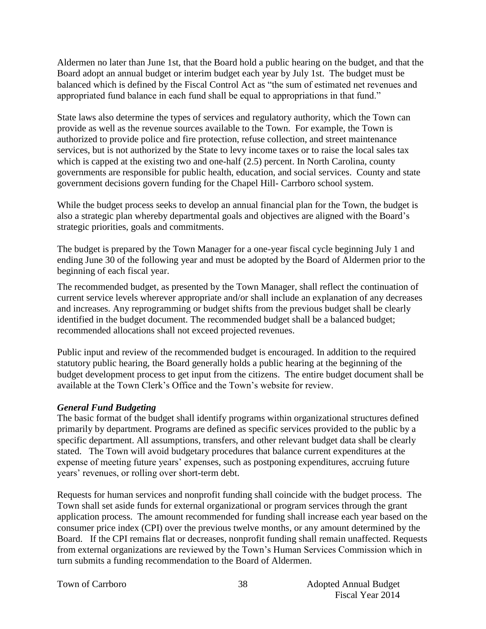Aldermen no later than June 1st, that the Board hold a public hearing on the budget, and that the Board adopt an annual budget or interim budget each year by July 1st. The budget must be balanced which is defined by the Fiscal Control Act as "the sum of estimated net revenues and appropriated fund balance in each fund shall be equal to appropriations in that fund."

State laws also determine the types of services and regulatory authority, which the Town can provide as well as the revenue sources available to the Town. For example, the Town is authorized to provide police and fire protection, refuse collection, and street maintenance services, but is not authorized by the State to levy income taxes or to raise the local sales tax which is capped at the existing two and one-half  $(2.5)$  percent. In North Carolina, county governments are responsible for public health, education, and social services. County and state government decisions govern funding for the Chapel Hill- Carrboro school system.

While the budget process seeks to develop an annual financial plan for the Town, the budget is also a strategic plan whereby departmental goals and objectives are aligned with the Board's strategic priorities, goals and commitments.

The budget is prepared by the Town Manager for a one-year fiscal cycle beginning July 1 and ending June 30 of the following year and must be adopted by the Board of Aldermen prior to the beginning of each fiscal year.

The recommended budget, as presented by the Town Manager, shall reflect the continuation of current service levels wherever appropriate and/or shall include an explanation of any decreases and increases. Any reprogramming or budget shifts from the previous budget shall be clearly identified in the budget document. The recommended budget shall be a balanced budget; recommended allocations shall not exceed projected revenues.

Public input and review of the recommended budget is encouraged. In addition to the required statutory public hearing, the Board generally holds a public hearing at the beginning of the budget development process to get input from the citizens. The entire budget document shall be available at the Town Clerk's Office and the Town's website for review.

#### *General Fund Budgeting*

The basic format of the budget shall identify programs within organizational structures defined primarily by department. Programs are defined as specific services provided to the public by a specific department. All assumptions, transfers, and other relevant budget data shall be clearly stated. The Town will avoid budgetary procedures that balance current expenditures at the expense of meeting future years' expenses, such as postponing expenditures, accruing future years' revenues, or rolling over short-term debt.

Requests for human services and nonprofit funding shall coincide with the budget process. The Town shall set aside funds for external organizational or program services through the grant application process. The amount recommended for funding shall increase each year based on the consumer price index (CPI) over the previous twelve months, or any amount determined by the Board. If the CPI remains flat or decreases, nonprofit funding shall remain unaffected. Requests from external organizations are reviewed by the Town's Human Services Commission which in turn submits a funding recommendation to the Board of Aldermen.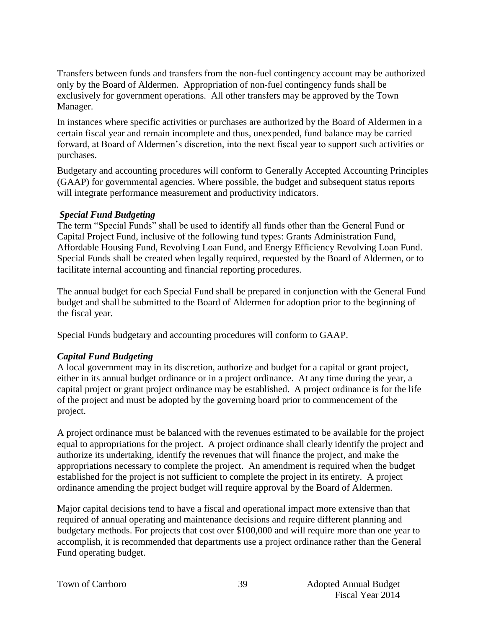Transfers between funds and transfers from the non-fuel contingency account may be authorized only by the Board of Aldermen. Appropriation of non-fuel contingency funds shall be exclusively for government operations. All other transfers may be approved by the Town Manager.

In instances where specific activities or purchases are authorized by the Board of Aldermen in a certain fiscal year and remain incomplete and thus, unexpended, fund balance may be carried forward, at Board of Aldermen's discretion, into the next fiscal year to support such activities or purchases.

Budgetary and accounting procedures will conform to Generally Accepted Accounting Principles (GAAP) for governmental agencies. Where possible, the budget and subsequent status reports will integrate performance measurement and productivity indicators.

## *Special Fund Budgeting*

The term "Special Funds" shall be used to identify all funds other than the General Fund or Capital Project Fund, inclusive of the following fund types: Grants Administration Fund, Affordable Housing Fund, Revolving Loan Fund, and Energy Efficiency Revolving Loan Fund. Special Funds shall be created when legally required, requested by the Board of Aldermen, or to facilitate internal accounting and financial reporting procedures.

The annual budget for each Special Fund shall be prepared in conjunction with the General Fund budget and shall be submitted to the Board of Aldermen for adoption prior to the beginning of the fiscal year.

Special Funds budgetary and accounting procedures will conform to GAAP.

## *Capital Fund Budgeting*

A local government may in its discretion, authorize and budget for a capital or grant project, either in its annual budget ordinance or in a project ordinance. At any time during the year, a capital project or grant project ordinance may be established. A project ordinance is for the life of the project and must be adopted by the governing board prior to commencement of the project.

A project ordinance must be balanced with the revenues estimated to be available for the project equal to appropriations for the project. A project ordinance shall clearly identify the project and authorize its undertaking, identify the revenues that will finance the project, and make the appropriations necessary to complete the project. An amendment is required when the budget established for the project is not sufficient to complete the project in its entirety. A project ordinance amending the project budget will require approval by the Board of Aldermen.

Major capital decisions tend to have a fiscal and operational impact more extensive than that required of annual operating and maintenance decisions and require different planning and budgetary methods. For projects that cost over \$100,000 and will require more than one year to accomplish, it is recommended that departments use a project ordinance rather than the General Fund operating budget.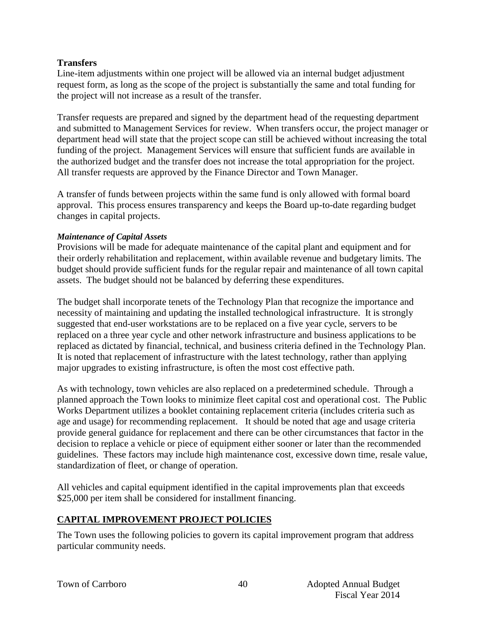## **Transfers**

Line-item adjustments within one project will be allowed via an internal budget adjustment request form, as long as the scope of the project is substantially the same and total funding for the project will not increase as a result of the transfer.

Transfer requests are prepared and signed by the department head of the requesting department and submitted to Management Services for review. When transfers occur, the project manager or department head will state that the project scope can still be achieved without increasing the total funding of the project. Management Services will ensure that sufficient funds are available in the authorized budget and the transfer does not increase the total appropriation for the project. All transfer requests are approved by the Finance Director and Town Manager.

A transfer of funds between projects within the same fund is only allowed with formal board approval. This process ensures transparency and keeps the Board up-to-date regarding budget changes in capital projects.

#### *Maintenance of Capital Assets*

Provisions will be made for adequate maintenance of the capital plant and equipment and for their orderly rehabilitation and replacement, within available revenue and budgetary limits. The budget should provide sufficient funds for the regular repair and maintenance of all town capital assets. The budget should not be balanced by deferring these expenditures.

The budget shall incorporate tenets of the Technology Plan that recognize the importance and necessity of maintaining and updating the installed technological infrastructure. It is strongly suggested that end-user workstations are to be replaced on a five year cycle, servers to be replaced on a three year cycle and other network infrastructure and business applications to be replaced as dictated by financial, technical, and business criteria defined in the Technology Plan. It is noted that replacement of infrastructure with the latest technology, rather than applying major upgrades to existing infrastructure, is often the most cost effective path.

As with technology, town vehicles are also replaced on a predetermined schedule. Through a planned approach the Town looks to minimize fleet capital cost and operational cost. The Public Works Department utilizes a booklet containing replacement criteria (includes criteria such as age and usage) for recommending replacement. It should be noted that age and usage criteria provide general guidance for replacement and there can be other circumstances that factor in the decision to replace a vehicle or piece of equipment either sooner or later than the recommended guidelines. These factors may include high maintenance cost, excessive down time, resale value, standardization of fleet, or change of operation.

All vehicles and capital equipment identified in the capital improvements plan that exceeds \$25,000 per item shall be considered for installment financing.

## **CAPITAL IMPROVEMENT PROJECT POLICIES**

The Town uses the following policies to govern its capital improvement program that address particular community needs.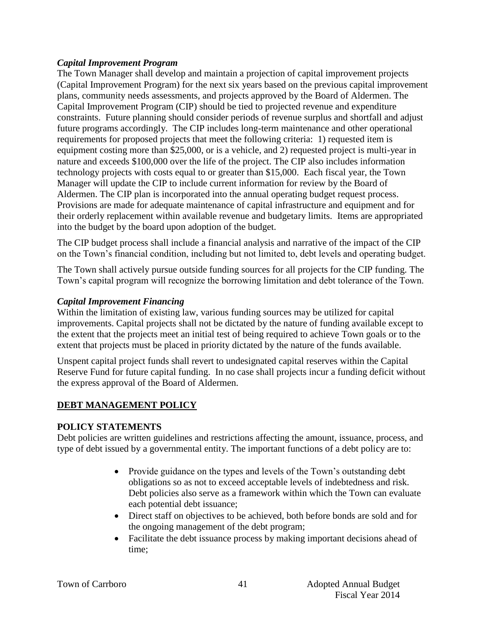## *Capital Improvement Program*

The Town Manager shall develop and maintain a projection of capital improvement projects (Capital Improvement Program) for the next six years based on the previous capital improvement plans, community needs assessments, and projects approved by the Board of Aldermen. The Capital Improvement Program (CIP) should be tied to projected revenue and expenditure constraints. Future planning should consider periods of revenue surplus and shortfall and adjust future programs accordingly. The CIP includes long-term maintenance and other operational requirements for proposed projects that meet the following criteria: 1) requested item is equipment costing more than \$25,000, or is a vehicle, and 2) requested project is multi-year in nature and exceeds \$100,000 over the life of the project. The CIP also includes information technology projects with costs equal to or greater than \$15,000. Each fiscal year, the Town Manager will update the CIP to include current information for review by the Board of Aldermen. The CIP plan is incorporated into the annual operating budget request process. Provisions are made for adequate maintenance of capital infrastructure and equipment and for their orderly replacement within available revenue and budgetary limits. Items are appropriated into the budget by the board upon adoption of the budget.

The CIP budget process shall include a financial analysis and narrative of the impact of the CIP on the Town's financial condition, including but not limited to, debt levels and operating budget.

The Town shall actively pursue outside funding sources for all projects for the CIP funding. The Town's capital program will recognize the borrowing limitation and debt tolerance of the Town.

#### *Capital Improvement Financing*

Within the limitation of existing law, various funding sources may be utilized for capital improvements. Capital projects shall not be dictated by the nature of funding available except to the extent that the projects meet an initial test of being required to achieve Town goals or to the extent that projects must be placed in priority dictated by the nature of the funds available.

Unspent capital project funds shall revert to undesignated capital reserves within the Capital Reserve Fund for future capital funding. In no case shall projects incur a funding deficit without the express approval of the Board of Aldermen.

## **DEBT MANAGEMENT POLICY**

## **POLICY STATEMENTS**

Debt policies are written guidelines and restrictions affecting the amount, issuance, process, and type of debt issued by a governmental entity. The important functions of a debt policy are to:

- Provide guidance on the types and levels of the Town's outstanding debt obligations so as not to exceed acceptable levels of indebtedness and risk. Debt policies also serve as a framework within which the Town can evaluate each potential debt issuance;
- Direct staff on objectives to be achieved, both before bonds are sold and for the ongoing management of the debt program;
- Facilitate the debt issuance process by making important decisions ahead of time;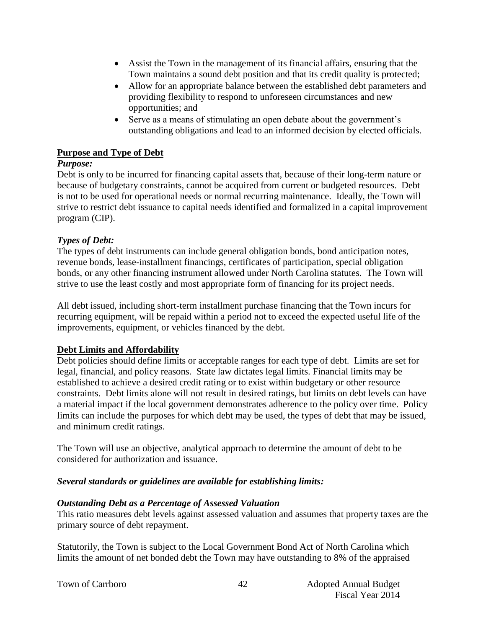- Assist the Town in the management of its financial affairs, ensuring that the Town maintains a sound debt position and that its credit quality is protected;
- Allow for an appropriate balance between the established debt parameters and providing flexibility to respond to unforeseen circumstances and new opportunities; and
- Serve as a means of stimulating an open debate about the government's outstanding obligations and lead to an informed decision by elected officials.

## **Purpose and Type of Debt**

#### *Purpose:*

Debt is only to be incurred for financing capital assets that, because of their long-term nature or because of budgetary constraints, cannot be acquired from current or budgeted resources. Debt is not to be used for operational needs or normal recurring maintenance. Ideally, the Town will strive to restrict debt issuance to capital needs identified and formalized in a capital improvement program (CIP).

## *Types of Debt:*

The types of debt instruments can include general obligation bonds, bond anticipation notes, revenue bonds, lease-installment financings, certificates of participation, special obligation bonds, or any other financing instrument allowed under North Carolina statutes. The Town will strive to use the least costly and most appropriate form of financing for its project needs.

All debt issued, including short-term installment purchase financing that the Town incurs for recurring equipment, will be repaid within a period not to exceed the expected useful life of the improvements, equipment, or vehicles financed by the debt.

## **Debt Limits and Affordability**

Debt policies should define limits or acceptable ranges for each type of debt. Limits are set for legal, financial, and policy reasons. State law dictates legal limits. Financial limits may be established to achieve a desired credit rating or to exist within budgetary or other resource constraints. Debt limits alone will not result in desired ratings, but limits on debt levels can have a material impact if the local government demonstrates adherence to the policy over time. Policy limits can include the purposes for which debt may be used, the types of debt that may be issued, and minimum credit ratings.

The Town will use an objective, analytical approach to determine the amount of debt to be considered for authorization and issuance.

## *Several standards or guidelines are available for establishing limits:*

## *Outstanding Debt as a Percentage of Assessed Valuation*

This ratio measures debt levels against assessed valuation and assumes that property taxes are the primary source of debt repayment.

Statutorily, the Town is subject to the Local Government Bond Act of North Carolina which limits the amount of net bonded debt the Town may have outstanding to 8% of the appraised

|  |  |  | Town of Carrboro |
|--|--|--|------------------|
|--|--|--|------------------|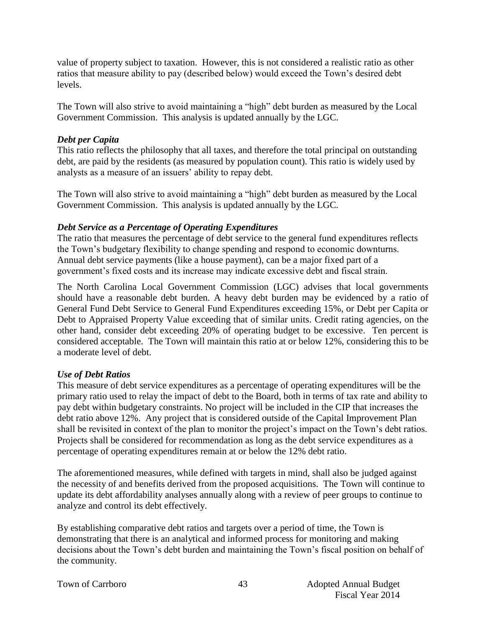value of property subject to taxation. However, this is not considered a realistic ratio as other ratios that measure ability to pay (described below) would exceed the Town's desired debt levels.

The Town will also strive to avoid maintaining a "high" debt burden as measured by the Local Government Commission. This analysis is updated annually by the LGC.

## *Debt per Capita*

This ratio reflects the philosophy that all taxes, and therefore the total principal on outstanding debt, are paid by the residents (as measured by population count). This ratio is widely used by analysts as a measure of an issuers' ability to repay debt.

The Town will also strive to avoid maintaining a "high" debt burden as measured by the Local Government Commission. This analysis is updated annually by the LGC.

#### *Debt Service as a Percentage of Operating Expenditures*

The ratio that measures the percentage of debt service to the general fund expenditures reflects the Town's budgetary flexibility to change spending and respond to economic downturns. Annual debt service payments (like a house payment), can be a major fixed part of a government's fixed costs and its increase may indicate excessive debt and fiscal strain.

The North Carolina Local Government Commission (LGC) advises that local governments should have a reasonable debt burden. A heavy debt burden may be evidenced by a ratio of General Fund Debt Service to General Fund Expenditures exceeding 15%, or Debt per Capita or Debt to Appraised Property Value exceeding that of similar units. Credit rating agencies, on the other hand, consider debt exceeding 20% of operating budget to be excessive. Ten percent is considered acceptable. The Town will maintain this ratio at or below 12%, considering this to be a moderate level of debt.

#### *Use of Debt Ratios*

This measure of debt service expenditures as a percentage of operating expenditures will be the primary ratio used to relay the impact of debt to the Board, both in terms of tax rate and ability to pay debt within budgetary constraints. No project will be included in the CIP that increases the debt ratio above 12%. Any project that is considered outside of the Capital Improvement Plan shall be revisited in context of the plan to monitor the project's impact on the Town's debt ratios. Projects shall be considered for recommendation as long as the debt service expenditures as a percentage of operating expenditures remain at or below the 12% debt ratio.

The aforementioned measures, while defined with targets in mind, shall also be judged against the necessity of and benefits derived from the proposed acquisitions. The Town will continue to update its debt affordability analyses annually along with a review of peer groups to continue to analyze and control its debt effectively.

By establishing comparative debt ratios and targets over a period of time, the Town is demonstrating that there is an analytical and informed process for monitoring and making decisions about the Town's debt burden and maintaining the Town's fiscal position on behalf of the community.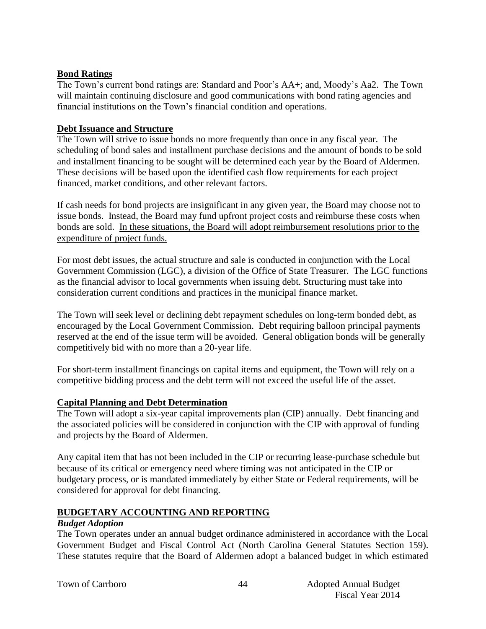## **Bond Ratings**

The Town's current bond ratings are: Standard and Poor's AA+; and, Moody's Aa2. The Town will maintain continuing disclosure and good communications with bond rating agencies and financial institutions on the Town's financial condition and operations.

## **Debt Issuance and Structure**

The Town will strive to issue bonds no more frequently than once in any fiscal year. The scheduling of bond sales and installment purchase decisions and the amount of bonds to be sold and installment financing to be sought will be determined each year by the Board of Aldermen. These decisions will be based upon the identified cash flow requirements for each project financed, market conditions, and other relevant factors.

If cash needs for bond projects are insignificant in any given year, the Board may choose not to issue bonds. Instead, the Board may fund upfront project costs and reimburse these costs when bonds are sold. In these situations, the Board will adopt reimbursement resolutions prior to the expenditure of project funds.

For most debt issues, the actual structure and sale is conducted in conjunction with the Local Government Commission (LGC), a division of the Office of State Treasurer. The LGC functions as the financial advisor to local governments when issuing debt. Structuring must take into consideration current conditions and practices in the municipal finance market.

The Town will seek level or declining debt repayment schedules on long-term bonded debt, as encouraged by the Local Government Commission. Debt requiring balloon principal payments reserved at the end of the issue term will be avoided. General obligation bonds will be generally competitively bid with no more than a 20-year life.

For short-term installment financings on capital items and equipment, the Town will rely on a competitive bidding process and the debt term will not exceed the useful life of the asset.

## **Capital Planning and Debt Determination**

The Town will adopt a six-year capital improvements plan (CIP) annually. Debt financing and the associated policies will be considered in conjunction with the CIP with approval of funding and projects by the Board of Aldermen.

Any capital item that has not been included in the CIP or recurring lease-purchase schedule but because of its critical or emergency need where timing was not anticipated in the CIP or budgetary process, or is mandated immediately by either State or Federal requirements, will be considered for approval for debt financing.

## **BUDGETARY ACCOUNTING AND REPORTING**

#### *Budget Adoption*

The Town operates under an annual budget ordinance administered in accordance with the Local Government Budget and Fiscal Control Act (North Carolina General Statutes Section 159). These statutes require that the Board of Aldermen adopt a balanced budget in which estimated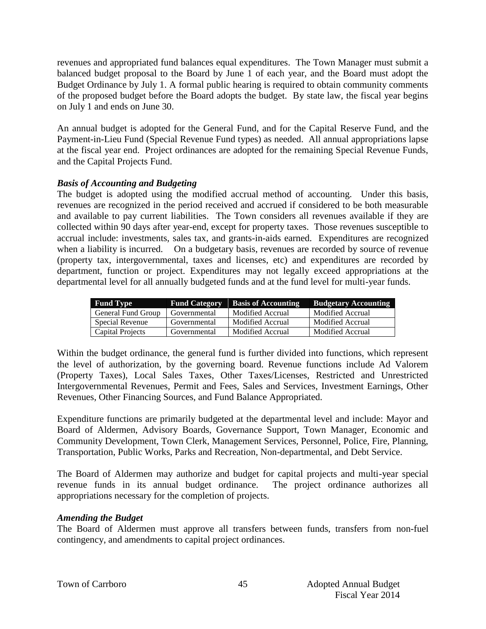revenues and appropriated fund balances equal expenditures. The Town Manager must submit a balanced budget proposal to the Board by June 1 of each year, and the Board must adopt the Budget Ordinance by July 1. A formal public hearing is required to obtain community comments of the proposed budget before the Board adopts the budget. By state law, the fiscal year begins on July 1 and ends on June 30.

An annual budget is adopted for the General Fund, and for the Capital Reserve Fund, and the Payment-in-Lieu Fund (Special Revenue Fund types) as needed. All annual appropriations lapse at the fiscal year end. Project ordinances are adopted for the remaining Special Revenue Funds, and the Capital Projects Fund.

## *Basis of Accounting and Budgeting*

The budget is adopted using the modified accrual method of accounting. Under this basis, revenues are recognized in the period received and accrued if considered to be both measurable and available to pay current liabilities. The Town considers all revenues available if they are collected within 90 days after year-end, except for property taxes. Those revenues susceptible to accrual include: investments, sales tax, and grants-in-aids earned. Expenditures are recognized when a liability is incurred. On a budgetary basis, revenues are recorded by source of revenue (property tax, intergovernmental, taxes and licenses, etc) and expenditures are recorded by department, function or project. Expenditures may not legally exceed appropriations at the departmental level for all annually budgeted funds and at the fund level for multi-year funds.

| <b>Fund Type</b>   | <b>Fund Category</b> | <b>Basis of Accounting</b> | <b>Budgetary Accounting</b> |
|--------------------|----------------------|----------------------------|-----------------------------|
| General Fund Group | Governmental         | Modified Accrual           | Modified Accrual            |
| Special Revenue    | Governmental         | Modified Accrual           | Modified Accrual            |
| Capital Projects   | Governmental         | Modified Accrual           | Modified Accrual            |

Within the budget ordinance, the general fund is further divided into functions, which represent the level of authorization, by the governing board. Revenue functions include Ad Valorem (Property Taxes), Local Sales Taxes, Other Taxes/Licenses, Restricted and Unrestricted Intergovernmental Revenues, Permit and Fees, Sales and Services, Investment Earnings, Other Revenues, Other Financing Sources, and Fund Balance Appropriated.

Expenditure functions are primarily budgeted at the departmental level and include: Mayor and Board of Aldermen, Advisory Boards, Governance Support, Town Manager, Economic and Community Development, Town Clerk, Management Services, Personnel, Police, Fire, Planning, Transportation, Public Works, Parks and Recreation, Non-departmental, and Debt Service.

The Board of Aldermen may authorize and budget for capital projects and multi-year special revenue funds in its annual budget ordinance. The project ordinance authorizes all appropriations necessary for the completion of projects.

## *Amending the Budget*

The Board of Aldermen must approve all transfers between funds, transfers from non-fuel contingency, and amendments to capital project ordinances.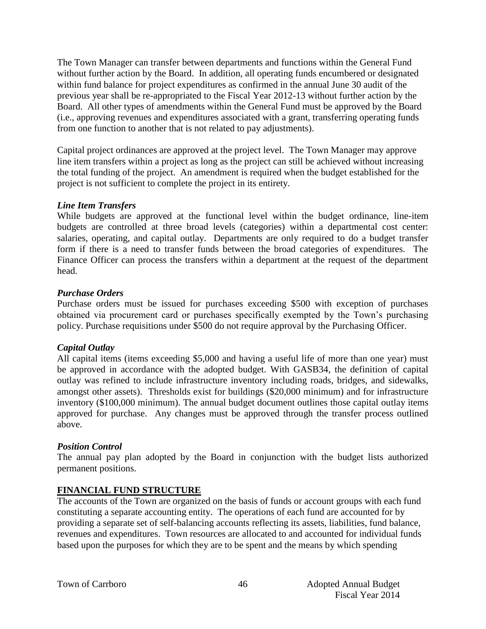The Town Manager can transfer between departments and functions within the General Fund without further action by the Board. In addition, all operating funds encumbered or designated within fund balance for project expenditures as confirmed in the annual June 30 audit of the previous year shall be re-appropriated to the Fiscal Year 2012-13 without further action by the Board. All other types of amendments within the General Fund must be approved by the Board (i.e., approving revenues and expenditures associated with a grant, transferring operating funds from one function to another that is not related to pay adjustments).

Capital project ordinances are approved at the project level. The Town Manager may approve line item transfers within a project as long as the project can still be achieved without increasing the total funding of the project. An amendment is required when the budget established for the project is not sufficient to complete the project in its entirety.

#### *Line Item Transfers*

While budgets are approved at the functional level within the budget ordinance, line-item budgets are controlled at three broad levels (categories) within a departmental cost center: salaries, operating, and capital outlay. Departments are only required to do a budget transfer form if there is a need to transfer funds between the broad categories of expenditures. The Finance Officer can process the transfers within a department at the request of the department head.

#### *Purchase Orders*

Purchase orders must be issued for purchases exceeding \$500 with exception of purchases obtained via procurement card or purchases specifically exempted by the Town's purchasing policy. Purchase requisitions under \$500 do not require approval by the Purchasing Officer.

#### *Capital Outlay*

All capital items (items exceeding \$5,000 and having a useful life of more than one year) must be approved in accordance with the adopted budget. With GASB34, the definition of capital outlay was refined to include infrastructure inventory including roads, bridges, and sidewalks, amongst other assets). Thresholds exist for buildings (\$20,000 minimum) and for infrastructure inventory (\$100,000 minimum). The annual budget document outlines those capital outlay items approved for purchase. Any changes must be approved through the transfer process outlined above.

#### *Position Control*

The annual pay plan adopted by the Board in conjunction with the budget lists authorized permanent positions.

## **FINANCIAL FUND STRUCTURE**

The accounts of the Town are organized on the basis of funds or account groups with each fund constituting a separate accounting entity. The operations of each fund are accounted for by providing a separate set of self-balancing accounts reflecting its assets, liabilities, fund balance, revenues and expenditures. Town resources are allocated to and accounted for individual funds based upon the purposes for which they are to be spent and the means by which spending